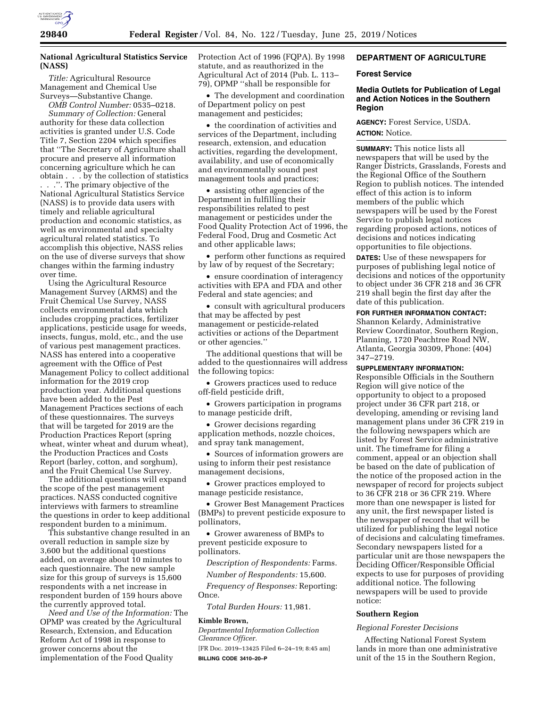

# **National Agricultural Statistics Service (NASS)**

*Title:* Agricultural Resource Management and Chemical Use Surveys—Substantive Change. *OMB Control Number:* 0535–0218.

*Summary of Collection:* General authority for these data collection activities is granted under U.S. Code Title 7, Section 2204 which specifies that ''The Secretary of Agriculture shall procure and preserve all information concerning agriculture which he can obtain . . . by the collection of statistics . . .''. The primary objective of the National Agricultural Statistics Service (NASS) is to provide data users with timely and reliable agricultural production and economic statistics, as well as environmental and specialty agricultural related statistics. To accomplish this objective, NASS relies on the use of diverse surveys that show changes within the farming industry over time.

Using the Agricultural Resource Management Survey (ARMS) and the Fruit Chemical Use Survey, NASS collects environmental data which includes cropping practices, fertilizer applications, pesticide usage for weeds, insects, fungus, mold, etc., and the use of various pest management practices. NASS has entered into a cooperative agreement with the Office of Pest Management Policy to collect additional information for the 2019 crop production year. Additional questions have been added to the Pest Management Practices sections of each of these questionnaires. The surveys that will be targeted for 2019 are the Production Practices Report (spring wheat, winter wheat and durum wheat), the Production Practices and Costs Report (barley, cotton, and sorghum), and the Fruit Chemical Use Survey.

The additional questions will expand the scope of the pest management practices. NASS conducted cognitive interviews with farmers to streamline the questions in order to keep additional respondent burden to a minimum.

This substantive change resulted in an overall reduction in sample size by 3,600 but the additional questions added, on average about 10 minutes to each questionnaire. The new sample size for this group of surveys is 15,600 respondents with a net increase in respondent burden of 159 hours above the currently approved total.

*Need and Use of the Information:* The OPMP was created by the Agricultural Research, Extension, and Education Reform Act of 1998 in response to grower concerns about the implementation of the Food Quality

Protection Act of 1996 (FQPA). By 1998 statute, and as reauthorized in the Agricultural Act of 2014 (Pub. L. 113– 79), OPMP ''shall be responsible for

• The development and coordination of Department policy on pest management and pesticides;

• the coordination of activities and services of the Department, including research, extension, and education activities, regarding the development, availability, and use of economically and environmentally sound pest management tools and practices;

• assisting other agencies of the Department in fulfilling their responsibilities related to pest management or pesticides under the Food Quality Protection Act of 1996, the Federal Food, Drug and Cosmetic Act and other applicable laws;

• perform other functions as required by law of by request of the Secretary;

• ensure coordination of interagency activities with EPA and FDA and other Federal and state agencies; and

• consult with agricultural producers that may be affected by pest management or pesticide-related activities or actions of the Department or other agencies.''

The additional questions that will be added to the questionnaires will address the following topics:

• Growers practices used to reduce off-field pesticide drift,

• Growers participation in programs to manage pesticide drift,

• Grower decisions regarding application methods, nozzle choices, and spray tank management,

• Sources of information growers are using to inform their pest resistance management decisions,

• Grower practices employed to manage pesticide resistance,

• Grower Best Management Practices (BMPs) to prevent pesticide exposure to pollinators,

• Grower awareness of BMPs to prevent pesticide exposure to pollinators.

*Description of Respondents:* Farms. *Number of Respondents:* 15,600.

*Frequency of Responses:* Reporting:

Once.

*Total Burden Hours:* 11,981.

#### **Kimble Brown,**

*Departmental Information Collection Clearance Officer.* 

[FR Doc. 2019–13425 Filed 6–24–19; 8:45 am] **BILLING CODE 3410–20–P** 

# **DEPARTMENT OF AGRICULTURE**

# **Forest Service**

# **Media Outlets for Publication of Legal and Action Notices in the Southern Region**

**AGENCY:** Forest Service, USDA. **ACTION:** Notice.

**SUMMARY:** This notice lists all newspapers that will be used by the Ranger Districts, Grasslands, Forests and the Regional Office of the Southern Region to publish notices. The intended effect of this action is to inform members of the public which newspapers will be used by the Forest Service to publish legal notices regarding proposed actions, notices of decisions and notices indicating opportunities to file objections.

**DATES:** Use of these newspapers for purposes of publishing legal notice of decisions and notices of the opportunity to object under 36 CFR 218 and 36 CFR 219 shall begin the first day after the date of this publication.

**FOR FURTHER INFORMATION CONTACT:**  Shannon Kelardy, Administrative Review Coordinator, Southern Region, Planning, 1720 Peachtree Road NW, Atlanta, Georgia 30309, Phone: (404) 347–2719.

**SUPPLEMENTARY INFORMATION:** 

Responsible Officials in the Southern Region will give notice of the opportunity to object to a proposed project under 36 CFR part 218, or developing, amending or revising land management plans under 36 CFR 219 in the following newspapers which are listed by Forest Service administrative unit. The timeframe for filing a comment, appeal or an objection shall be based on the date of publication of the notice of the proposed action in the newspaper of record for projects subject to 36 CFR 218 or 36 CFR 219. Where more than one newspaper is listed for any unit, the first newspaper listed is the newspaper of record that will be utilized for publishing the legal notice of decisions and calculating timeframes. Secondary newspapers listed for a particular unit are those newspapers the Deciding Officer/Responsible Official expects to use for purposes of providing additional notice. The following newspapers will be used to provide notice:

# **Southern Region**

# *Regional Forester Decisions*

Affecting National Forest System lands in more than one administrative unit of the 15 in the Southern Region,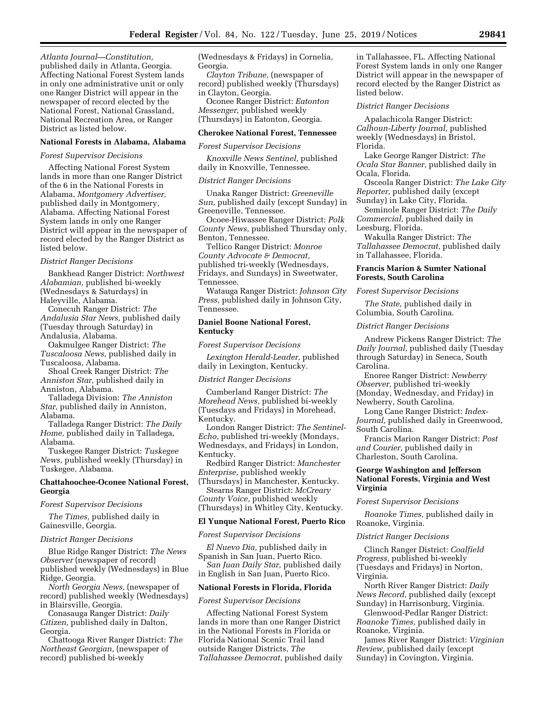*Atlanta Journal—Constitution,*  published daily in Atlanta, Georgia. Affecting National Forest System lands in only one administrative unit or only one Ranger District will appear in the newspaper of record elected by the National Forest, National Grassland, National Recreation Area, or Ranger District as listed below.

### **National Forests in Alabama, Alabama**

## *Forest Supervisor Decisions*

Affecting National Forest System lands in more than one Ranger District of the 6 in the National Forests in Alabama, *Montgomery Advertiser,*  published daily in Montgomery, Alabama. Affecting National Forest System lands in only one Ranger District will appear in the newspaper of record elected by the Ranger District as listed below.

### *District Ranger Decisions*

Bankhead Ranger District: *Northwest Alabamian,* published bi-weekly (Wednesdays & Saturdays) in Haleyville, Alabama.

Conecuh Ranger District: *The Andalusia Star News,* published daily (Tuesday through Saturday) in Andalusia, Alabama.

Oakmulgee Ranger District: *The Tuscaloosa News,* published daily in Tuscaloosa, Alabama.

Shoal Creek Ranger District: *The Anniston Star,* published daily in Anniston, Alabama.

Talladega Division: *The Anniston Star,* published daily in Anniston, Alabama.

Talladega Ranger District: *The Daily Home,* published daily in Talladega, Alabama.

Tuskegee Ranger District: *Tuskegee News,* published weekly (Thursday) in Tuskegee, Alabama.

# **Chattahoochee-Oconee National Forest, Georgia**

*Forest Supervisor Decisions* 

*The Times,* published daily in Gainesville, Georgia.

### *District Ranger Decisions*

Blue Ridge Ranger District: *The News Observer* (newspaper of record) published weekly (Wednesdays) in Blue Ridge, Georgia.

*North Georgia News,* (newspaper of record) published weekly (Wednesdays) in Blairsville, Georgia.

Conasauga Ranger District: *Daily Citizen,* published daily in Dalton, Georgia.

Chattooga River Ranger District: *The Northeast Georgian,* (newspaper of record) published bi-weekly

(Wednesdays & Fridays) in Cornelia, Georgia.

*Clayton Tribune,* (newspaper of record) published weekly (Thursdays) in Clayton, Georgia.

Oconee Ranger District: *Eatonton Messenger,* published weekly (Thursdays) in Eatonton, Georgia.

### **Cherokee National Forest, Tennessee**

### *Forest Supervisor Decisions*

*Knoxville News Sentinel,* published daily in Knoxville, Tennessee.

### *District Ranger Decisions*

Unaka Ranger District: *Greeneville Sun,* published daily (except Sunday) in Greeneville, Tennessee.

Ocoee-Hiwassee Ranger District: *Polk County News,* published Thursday only, Benton, Tennessee.

Tellico Ranger District: *Monroe County Advocate & Democrat,*  published tri-weekly (Wednesdays, Fridays, and Sundays) in Sweetwater, Tennessee.

Watauga Ranger District: *Johnson City Press,* published daily in Johnson City, Tennessee.

# **Daniel Boone National Forest, Kentucky**

*Forest Supervisor Decisions* 

*Lexington Herald-Leader,* published daily in Lexington, Kentucky.

#### *District Ranger Decisions*

Cumberland Ranger District: *The Morehead News,* published bi-weekly (Tuesdays and Fridays) in Morehead, Kentucky.

London Ranger District: *The Sentinel-Echo,* published tri-weekly (Mondays, Wednesdays, and Fridays) in London, Kentucky.

Redbird Ranger District: *Manchester Enterprise,* published weekly

(Thursdays) in Manchester, Kentucky. Stearns Ranger District: *McCreary* 

*County Voice,* published weekly (Thursdays) in Whitley City, Kentucky.

# **El Yunque National Forest, Puerto Rico**

### *Forest Supervisor Decisions*

*El Nuevo Dia,* published daily in Spanish in San Juan, Puerto Rico. *San Juan Daily Star,* published daily

in English in San Juan, Puerto Rico.

## **National Forests in Florida, Florida**

#### *Forest Supervisor Decisions*

Affecting National Forest System lands in more than one Ranger District in the National Forests in Florida or Florida National Scenic Trail land outside Ranger Districts, *The Tallahassee Democrat,* published daily in Tallahassee, FL. Affecting National Forest System lands in only one Ranger District will appear in the newspaper of record elected by the Ranger District as listed below.

### *District Ranger Decisions*

Apalachicola Ranger District: *Calhoun-Liberty Journal,* published weekly (Wednesdays) in Bristol, Florida.

Lake George Ranger District: *The Ocala Star Banner,* published daily in Ocala, Florida.

Osceola Ranger District: *The Lake City Reporter,* published daily (except Sunday) in Lake City, Florida.

Seminole Ranger District: *The Daily Commercial,* published daily in Leesburg, Florida.

Wakulla Ranger District: *The Tallahassee Democrat,* published daily in Tallahassee, Florida.

## **Francis Marion & Sumter National Forests, South Carolina**

#### *Forest Supervisor Decisions*

*The State,* published daily in Columbia, South Carolina.

## *District Ranger Decisions*

Andrew Pickens Ranger District: *The Daily Journal,* published daily (Tuesday through Saturday) in Seneca, South Carolina.

Enoree Ranger District: *Newberry Observer,* published tri-weekly (Monday, Wednesday, and Friday) in Newberry, South Carolina.

Long Cane Ranger District: *Index-Journal,* published daily in Greenwood, South Carolina.

Francis Marion Ranger District: *Post and Courier,* published daily in Charleston, South Carolina.

# **George Washington and Jefferson National Forests, Virginia and West Virginia**

#### *Forest Supervisor Decisions*

*Roanoke Times,* published daily in Roanoke, Virginia.

#### *District Ranger Decisions*

Clinch Ranger District: *Coalfield Progress,* published bi-weekly (Tuesdays and Fridays) in Norton, Virginia.

North River Ranger District: *Daily News Record,* published daily (except Sunday) in Harrisonburg, Virginia.

Glenwood-Pedlar Ranger District: *Roanoke Times,* published daily in Roanoke, Virginia.

James River Ranger District: *Virginian Review,* published daily (except Sunday) in Covington, Virginia.